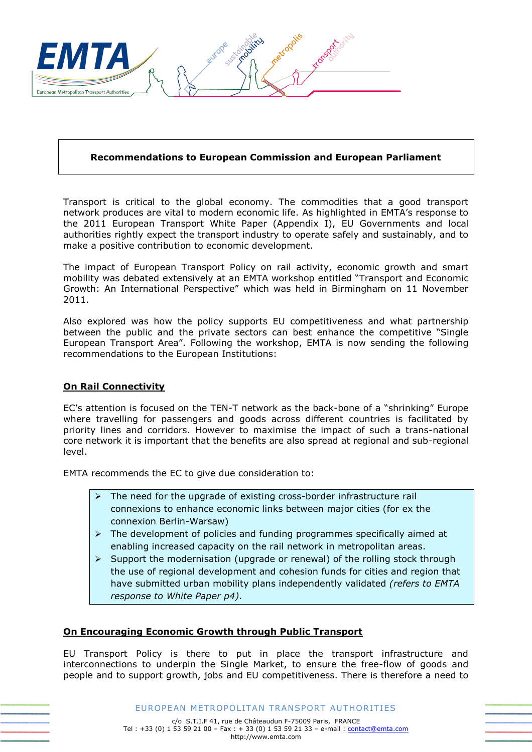

## **Recommendations to European Commission and European Parliament**

Transport is critical to the global economy. The commodities that a good transport network produces are vital to modern economic life. As highlighted in EMTA's response to the 2011 European Transport White Paper (Appendix I), EU Governments and local authorities rightly expect the transport industry to operate safely and sustainably, and to make a positive contribution to economic development.

The impact of European Transport Policy on rail activity, economic growth and smart mobility was debated extensively at an EMTA workshop entitled "Transport and Economic Growth: An International Perspective" which was held in Birmingham on 11 November 2011.

Also explored was how the policy supports EU competitiveness and what partnership between the public and the private sectors can best enhance the competitive "Single European Transport Area". Following the workshop, EMTA is now sending the following recommendations to the European Institutions:

## **On Rail Connectivity**

EC's attention is focused on the TEN-T network as the back-bone of a "shrinking" Europe where travelling for passengers and goods across different countries is facilitated by priority lines and corridors. However to maximise the impact of such a trans-national core network it is important that the benefits are also spread at regional and sub-regional level.

EMTA recommends the EC to give due consideration to:

- $\triangleright$  The need for the upgrade of existing cross-border infrastructure rail connexions to enhance economic links between major cities (for ex the connexion Berlin-Warsaw)
- $\triangleright$  The development of policies and funding programmes specifically aimed at enabling increased capacity on the rail network in metropolitan areas.
- $\triangleright$  Support the modernisation (upgrade or renewal) of the rolling stock through the use of regional development and cohesion funds for cities and region that have submitted urban mobility plans independently validated *(refers to EMTA response to White Paper p4).*

## **On Encouraging Economic Growth through Public Transport**

EU Transport Policy is there to put in place the transport infrastructure and interconnections to underpin the Single Market, to ensure the free-flow of goods and people and to support growth, jobs and EU competitiveness. There is therefore a need to

EUROPEAN METROPOLITAN TRANSPORT AUTHORITIES